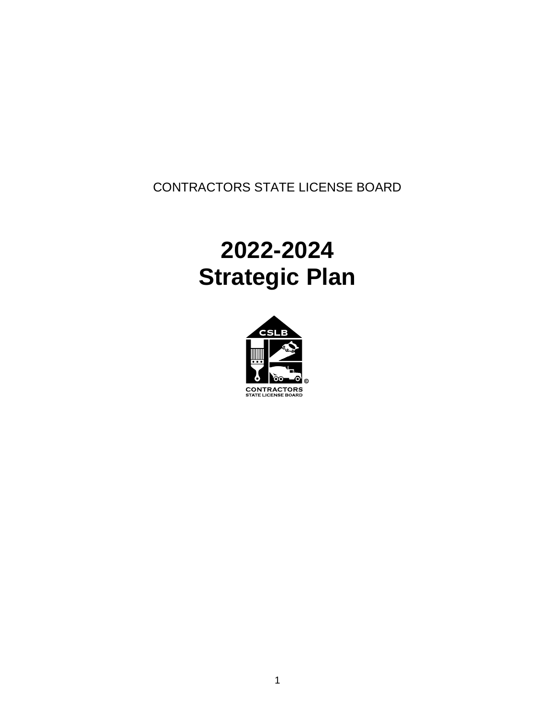CONTRACTORS STATE LICENSE BOARD

# **2022-2024 Strategic Plan**

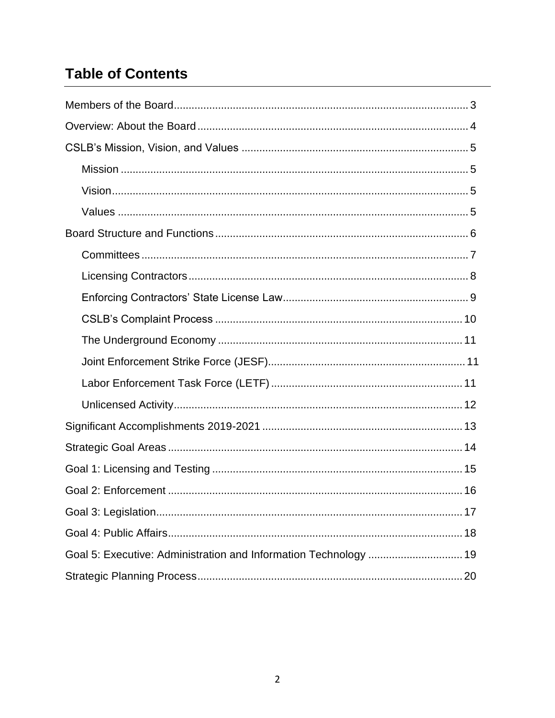# **Table of Contents**

| Goal 5: Executive: Administration and Information Technology  19 |
|------------------------------------------------------------------|
|                                                                  |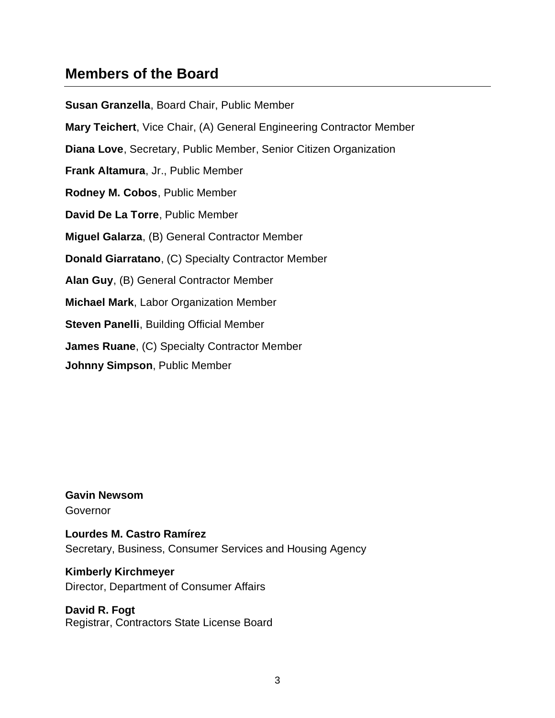# <span id="page-2-0"></span>**Members of the Board**

**Susan Granzella**, Board Chair, Public Member **Mary Teichert**, Vice Chair, (A) General Engineering Contractor Member **Diana Love**, Secretary, Public Member, Senior Citizen Organization **Frank Altamura**, Jr., Public Member **Rodney M. Cobos**, Public Member **David De La Torre**, Public Member **Miguel Galarza**, (B) General Contractor Member **Donald Giarratano**, (C) Specialty Contractor Member **Alan Guy**, (B) General Contractor Member **Michael Mark**, Labor Organization Member **Steven Panelli**, Building Official Member **James Ruane**, (C) Specialty Contractor Member **Johnny Simpson**, Public Member

**Gavin Newsom** Governor

**Lourdes M. Castro Ramírez** Secretary, Business, Consumer Services and Housing Agency

**Kimberly Kirchmeyer** Director, Department of Consumer Affairs

**David R. Fogt** Registrar, Contractors State License Board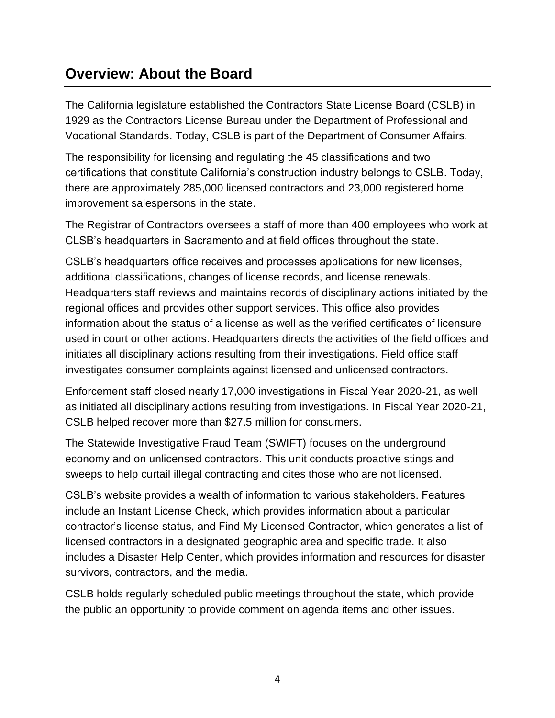# <span id="page-3-0"></span>**Overview: About the Board**

The California legislature established the Contractors State License Board (CSLB) in 1929 as the Contractors License Bureau under the Department of Professional and Vocational Standards. Today, CSLB is part of the Department of Consumer Affairs.

The responsibility for licensing and regulating the 45 classifications and two certifications that constitute California's construction industry belongs to CSLB. Today, there are approximately 285,000 licensed contractors and 23,000 registered home improvement salespersons in the state.

The Registrar of Contractors oversees a staff of more than 400 employees who work at CLSB's headquarters in Sacramento and at field offices throughout the state.

CSLB's headquarters office receives and processes applications for new licenses, additional classifications, changes of license records, and license renewals. Headquarters staff reviews and maintains records of disciplinary actions initiated by the regional offices and provides other support services. This office also provides information about the status of a license as well as the verified certificates of licensure used in court or other actions. Headquarters directs the activities of the field offices and initiates all disciplinary actions resulting from their investigations. Field office staff investigates consumer complaints against licensed and unlicensed contractors.

Enforcement staff closed nearly 17,000 investigations in Fiscal Year 2020-21, as well as initiated all disciplinary actions resulting from investigations. In Fiscal Year 2020-21, CSLB helped recover more than \$27.5 million for consumers.

The Statewide Investigative Fraud Team (SWIFT) focuses on the underground economy and on unlicensed contractors. This unit conducts proactive stings and sweeps to help curtail illegal contracting and cites those who are not licensed.

CSLB's website provides a wealth of information to various stakeholders. Features include an Instant License Check, which provides information about a particular contractor's license status, and Find My Licensed Contractor, which generates a list of licensed contractors in a designated geographic area and specific trade. It also includes a Disaster Help Center, which provides information and resources for disaster survivors, contractors, and the media.

CSLB holds regularly scheduled public meetings throughout the state, which provide the public an opportunity to provide comment on agenda items and other issues.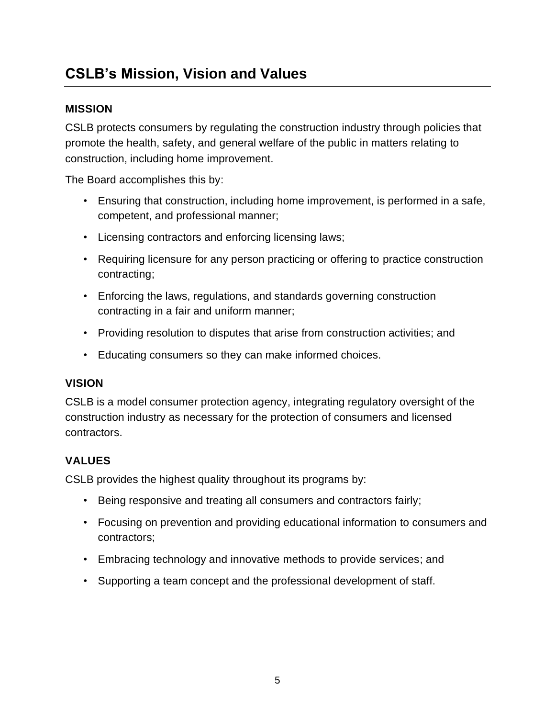# <span id="page-4-0"></span>**CSLB's Mission, Vision and Values**

### **MISSION**

CSLB protects consumers by regulating the construction industry through policies that promote the health, safety, and general welfare of the public in matters relating to construction, including home improvement.

The Board accomplishes this by:

- Ensuring that construction, including home improvement, is performed in a safe, competent, and professional manner;
- Licensing contractors and enforcing licensing laws;
- Requiring licensure for any person practicing or offering to practice construction contracting;
- Enforcing the laws, regulations, and standards governing construction contracting in a fair and uniform manner;
- Providing resolution to disputes that arise from construction activities; and
- Educating consumers so they can make informed choices.

#### **VISION**

CSLB is a model consumer protection agency, integrating regulatory oversight of the construction industry as necessary for the protection of consumers and licensed contractors.

### **VALUES**

CSLB provides the highest quality throughout its programs by:

- Being responsive and treating all consumers and contractors fairly;
- Focusing on prevention and providing educational information to consumers and contractors;
- Embracing technology and innovative methods to provide services; and
- Supporting a team concept and the professional development of staff.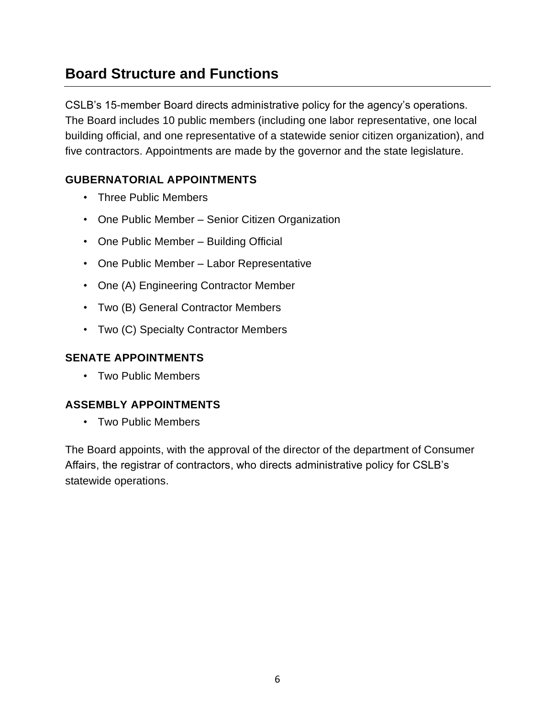# <span id="page-5-0"></span>**Board Structure and Functions**

CSLB's 15-member Board directs administrative policy for the agency's operations. The Board includes 10 public members (including one labor representative, one local building official, and one representative of a statewide senior citizen organization), and five contractors. Appointments are made by the governor and the state legislature.

### **GUBERNATORIAL APPOINTMENTS**

- Three Public Members
- One Public Member Senior Citizen Organization
- One Public Member Building Official
- One Public Member Labor Representative
- One (A) Engineering Contractor Member
- Two (B) General Contractor Members
- Two (C) Specialty Contractor Members

### **SENATE APPOINTMENTS**

• Two Public Members

### **ASSEMBLY APPOINTMENTS**

• Two Public Members

The Board appoints, with the approval of the director of the department of Consumer Affairs, the registrar of contractors, who directs administrative policy for CSLB's statewide operations.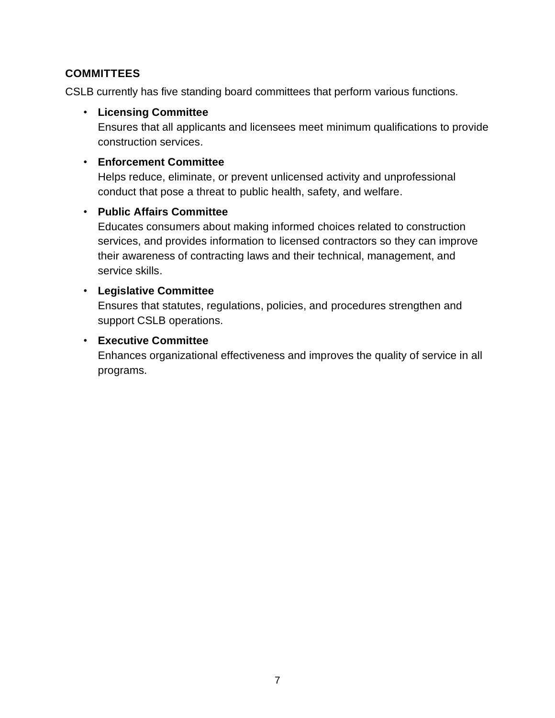#### <span id="page-6-0"></span>**COMMITTEES**

CSLB currently has five standing board committees that perform various functions.

#### • **Licensing Committee**

Ensures that all applicants and licensees meet minimum qualifications to provide construction services.

#### • **Enforcement Committee**

Helps reduce, eliminate, or prevent unlicensed activity and unprofessional conduct that pose a threat to public health, safety, and welfare.

#### • **Public Affairs Committee**

Educates consumers about making informed choices related to construction services, and provides information to licensed contractors so they can improve their awareness of contracting laws and their technical, management, and service skills.

#### • **Legislative Committee**

Ensures that statutes, regulations, policies, and procedures strengthen and support CSLB operations.

#### • **Executive Committee**

Enhances organizational effectiveness and improves the quality of service in all programs.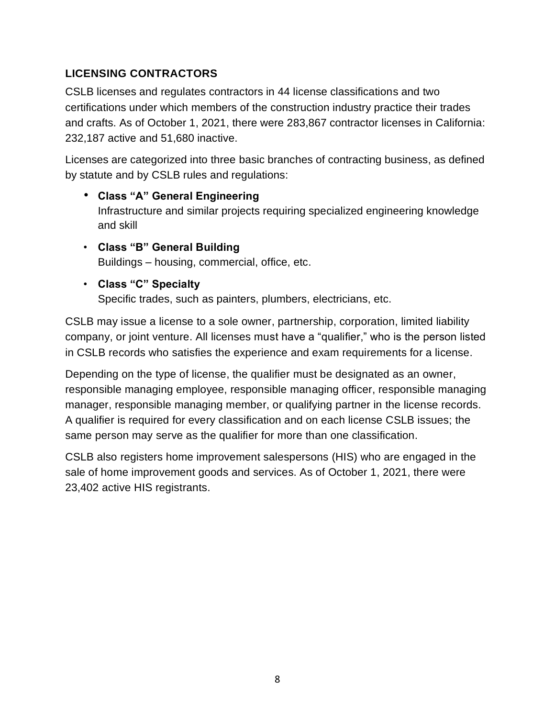# <span id="page-7-0"></span>**LICENSING CONTRACTORS**

CSLB licenses and regulates contractors in 44 license classifications and two certifications under which members of the construction industry practice their trades and crafts. As of October 1, 2021, there were 283,867 contractor licenses in California: 232,187 active and 51,680 inactive.

Licenses are categorized into three basic branches of contracting business, as defined by statute and by CSLB rules and regulations:

- **Class "A" General Engineering** Infrastructure and similar projects requiring specialized engineering knowledge and skill
- **Class "B" General Building** Buildings – housing, commercial, office, etc.
- **Class "C" Specialty**

Specific trades, such as painters, plumbers, electricians, etc.

CSLB may issue a license to a sole owner, partnership, corporation, limited liability company, or joint venture. All licenses must have a "qualifier," who is the person listed in CSLB records who satisfies the experience and exam requirements for a license.

Depending on the type of license, the qualifier must be designated as an owner, responsible managing employee, responsible managing officer, responsible managing manager, responsible managing member, or qualifying partner in the license records. A qualifier is required for every classification and on each license CSLB issues; the same person may serve as the qualifier for more than one classification.

CSLB also registers home improvement salespersons (HIS) who are engaged in the sale of home improvement goods and services. As of October 1, 2021, there were 23,402 active HIS registrants.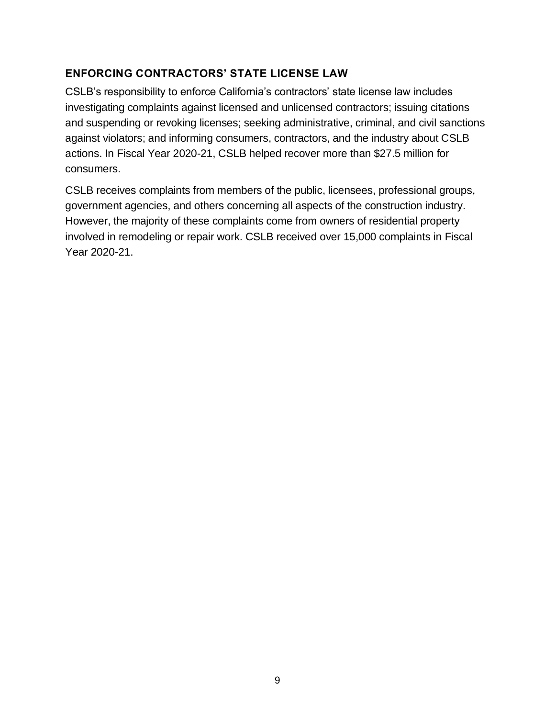### <span id="page-8-0"></span>**ENFORCING CONTRACTORS' STATE LICENSE LAW**

CSLB's responsibility to enforce California's contractors' state license law includes investigating complaints against licensed and unlicensed contractors; issuing citations and suspending or revoking licenses; seeking administrative, criminal, and civil sanctions against violators; and informing consumers, contractors, and the industry about CSLB actions. In Fiscal Year 2020-21, CSLB helped recover more than \$27.5 million for consumers.

CSLB receives complaints from members of the public, licensees, professional groups, government agencies, and others concerning all aspects of the construction industry. However, the majority of these complaints come from owners of residential property involved in remodeling or repair work. CSLB received over 15,000 complaints in Fiscal Year 2020-21.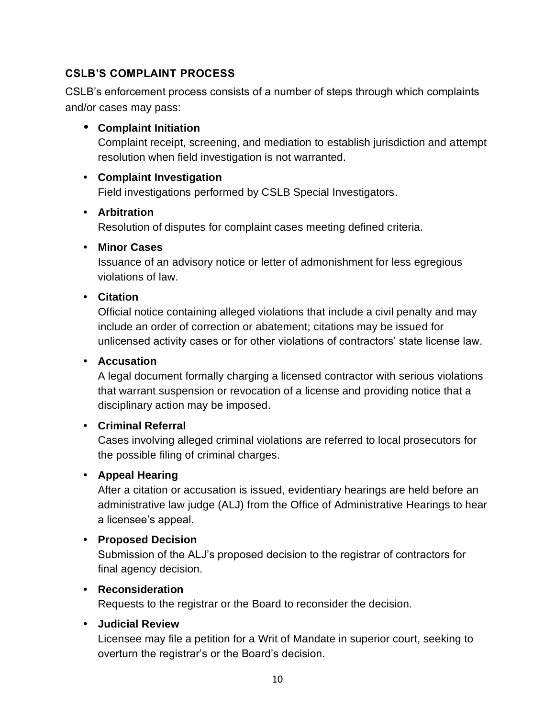### <span id="page-9-0"></span>**CSLB'S COMPLAINT PROCESS**

CSLB's enforcement process consists of a number of steps through which complaints and/or cases may pass:

#### **• Complaint Initiation**

Complaint receipt, screening, and mediation to establish jurisdiction and attempt resolution when field investigation is not warranted.

#### **• Complaint Investigation**

Field investigations performed by CSLB Special Investigators.

#### **• Arbitration**

Resolution of disputes for complaint cases meeting defined criteria.

#### **• Minor Cases**

Issuance of an advisory notice or letter of admonishment for less egregious violations of law.

#### **• Citation**

Official notice containing alleged violations that include a civil penalty and may include an order of correction or abatement; citations may be issued for unlicensed activity cases or for other violations of contractors' state license law.

#### **• Accusation**

A legal document formally charging a licensed contractor with serious violations that warrant suspension or revocation of a license and providing notice that a disciplinary action may be imposed.

#### **• Criminal Referral**

Cases involving alleged criminal violations are referred to local prosecutors for the possible filing of criminal charges.

#### **• Appeal Hearing**

After a citation or accusation is issued, evidentiary hearings are held before an administrative law judge (ALJ) from the Office of Administrative Hearings to hear a licensee's appeal.

#### **• Proposed Decision**

Submission of the ALJ's proposed decision to the registrar of contractors for final agency decision.

#### **• Reconsideration**

Requests to the registrar or the Board to reconsider the decision.

#### **• Judicial Review**

Licensee may file a petition for a Writ of Mandate in superior court, seeking to overturn the registrar's or the Board's decision.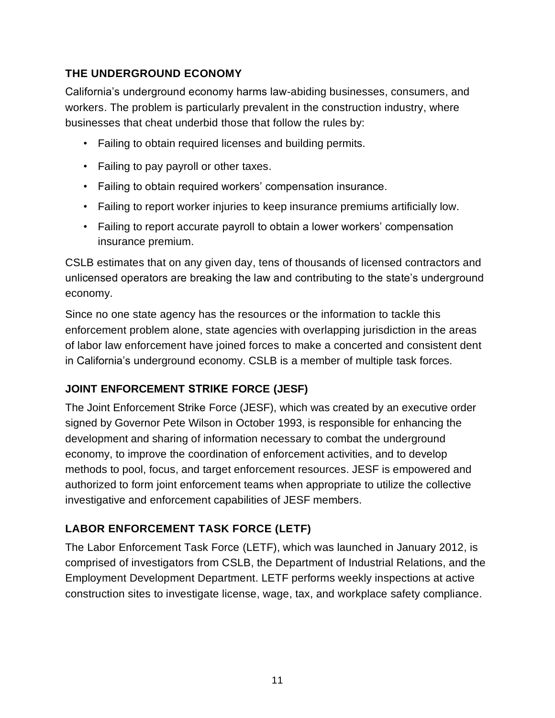# <span id="page-10-0"></span>**THE UNDERGROUND ECONOMY**

California's underground economy harms law-abiding businesses, consumers, and workers. The problem is particularly prevalent in the construction industry, where businesses that cheat underbid those that follow the rules by:

- Failing to obtain required licenses and building permits.
- Failing to pay payroll or other taxes.
- Failing to obtain required workers' compensation insurance.
- Failing to report worker injuries to keep insurance premiums artificially low.
- Failing to report accurate payroll to obtain a lower workers' compensation insurance premium.

CSLB estimates that on any given day, tens of thousands of licensed contractors and unlicensed operators are breaking the law and contributing to the state's underground economy.

Since no one state agency has the resources or the information to tackle this enforcement problem alone, state agencies with overlapping jurisdiction in the areas of labor law enforcement have joined forces to make a concerted and consistent dent in California's underground economy. CSLB is a member of multiple task forces.

# **JOINT ENFORCEMENT STRIKE FORCE (JESF)**

The Joint Enforcement Strike Force (JESF), which was created by an executive order signed by Governor Pete Wilson in October 1993, is responsible for enhancing the development and sharing of information necessary to combat the underground economy, to improve the coordination of enforcement activities, and to develop methods to pool, focus, and target enforcement resources. JESF is empowered and authorized to form joint enforcement teams when appropriate to utilize the collective investigative and enforcement capabilities of JESF members.

# **LABOR ENFORCEMENT TASK FORCE (LETF)**

The Labor Enforcement Task Force (LETF), which was launched in January 2012, is comprised of investigators from CSLB, the Department of Industrial Relations, and the Employment Development Department. LETF performs weekly inspections at active construction sites to investigate license, wage, tax, and workplace safety compliance.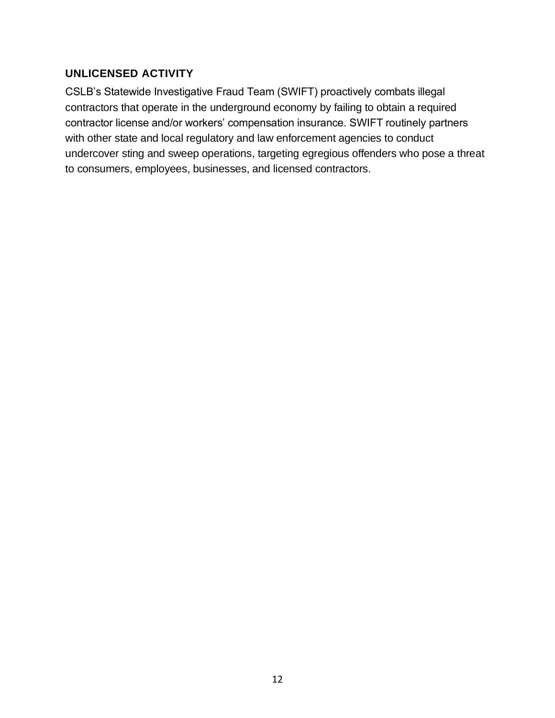#### <span id="page-11-0"></span>**UNLICENSED ACTIVITY**

CSLB's Statewide Investigative Fraud Team (SWIFT) proactively combats illegal contractors that operate in the underground economy by failing to obtain a required contractor license and/or workers' compensation insurance. SWIFT routinely partners with other state and local regulatory and law enforcement agencies to conduct undercover sting and sweep operations, targeting egregious offenders who pose a threat to consumers, employees, businesses, and licensed contractors.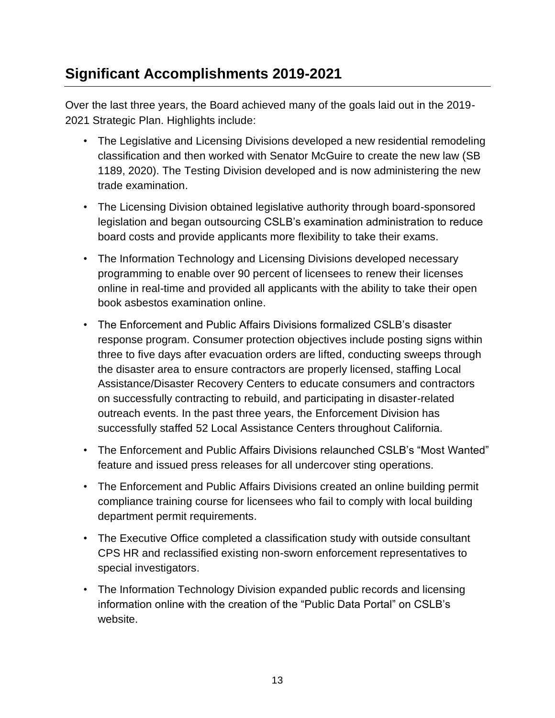# <span id="page-12-0"></span>**Significant Accomplishments 2019-2021**

Over the last three years, the Board achieved many of the goals laid out in the 2019- 2021 Strategic Plan. Highlights include:

- The Legislative and Licensing Divisions developed a new residential remodeling classification and then worked with Senator McGuire to create the new law (SB 1189, 2020). The Testing Division developed and is now administering the new trade examination.
- The Licensing Division obtained legislative authority through board-sponsored legislation and began outsourcing CSLB's examination administration to reduce board costs and provide applicants more flexibility to take their exams.
- The Information Technology and Licensing Divisions developed necessary programming to enable over 90 percent of licensees to renew their licenses online in real-time and provided all applicants with the ability to take their open book asbestos examination online.
- The Enforcement and Public Affairs Divisions formalized CSLB's disaster response program. Consumer protection objectives include posting signs within three to five days after evacuation orders are lifted, conducting sweeps through the disaster area to ensure contractors are properly licensed, staffing Local Assistance/Disaster Recovery Centers to educate consumers and contractors on successfully contracting to rebuild, and participating in disaster-related outreach events. In the past three years, the Enforcement Division has successfully staffed 52 Local Assistance Centers throughout California.
- The Enforcement and Public Affairs Divisions relaunched CSLB's "Most Wanted" feature and issued press releases for all undercover sting operations.
- The Enforcement and Public Affairs Divisions created an online building permit compliance training course for licensees who fail to comply with local building department permit requirements.
- The Executive Office completed a classification study with outside consultant CPS HR and reclassified existing non-sworn enforcement representatives to special investigators.
- The Information Technology Division expanded public records and licensing information online with the creation of the "Public Data Portal" on CSLB's website.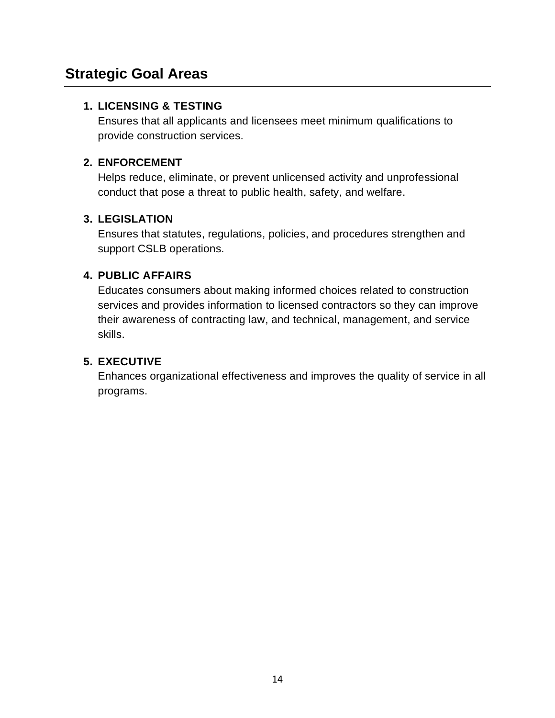# <span id="page-13-0"></span>**Strategic Goal Areas**

#### **1. LICENSING & TESTING**

Ensures that all applicants and licensees meet minimum qualifications to provide construction services.

### **2. ENFORCEMENT**

Helps reduce, eliminate, or prevent unlicensed activity and unprofessional conduct that pose a threat to public health, safety, and welfare.

### **3. LEGISLATION**

Ensures that statutes, regulations, policies, and procedures strengthen and support CSLB operations.

### **4. PUBLIC AFFAIRS**

Educates consumers about making informed choices related to construction services and provides information to licensed contractors so they can improve their awareness of contracting law, and technical, management, and service skills.

### **5. EXECUTIVE**

Enhances organizational effectiveness and improves the quality of service in all programs.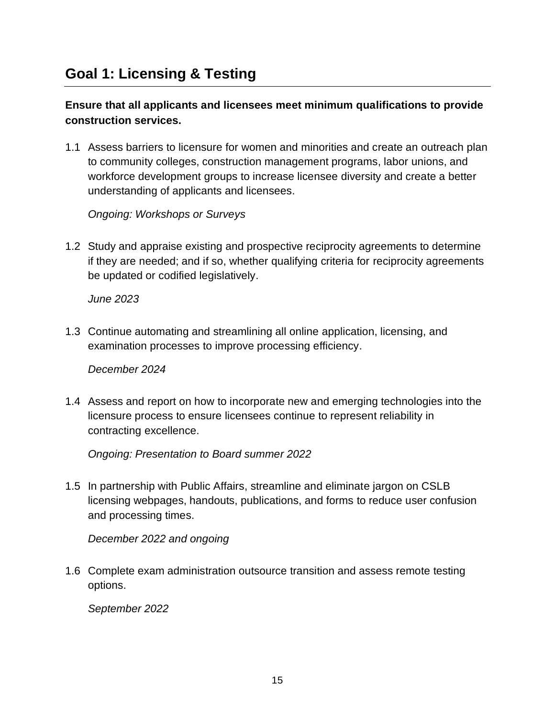<span id="page-14-0"></span>**Ensure that all applicants and licensees meet minimum qualifications to provide construction services.**

1.1 Assess barriers to licensure for women and minorities and create an outreach plan to community colleges, construction management programs, labor unions, and workforce development groups to increase licensee diversity and create a better understanding of applicants and licensees.

*Ongoing: Workshops or Surveys*

1.2 Study and appraise existing and prospective reciprocity agreements to determine if they are needed; and if so, whether qualifying criteria for reciprocity agreements be updated or codified legislatively.

*June 2023*

1.3 Continue automating and streamlining all online application, licensing, and examination processes to improve processing efficiency.

*December 2024*

1.4 Assess and report on how to incorporate new and emerging technologies into the licensure process to ensure licensees continue to represent reliability in contracting excellence.

*Ongoing: Presentation to Board summer 2022*

1.5 In partnership with Public Affairs, streamline and eliminate jargon on CSLB licensing webpages, handouts, publications, and forms to reduce user confusion and processing times.

*December 2022 and ongoing*

1.6 Complete exam administration outsource transition and assess remote testing options.

*September 2022*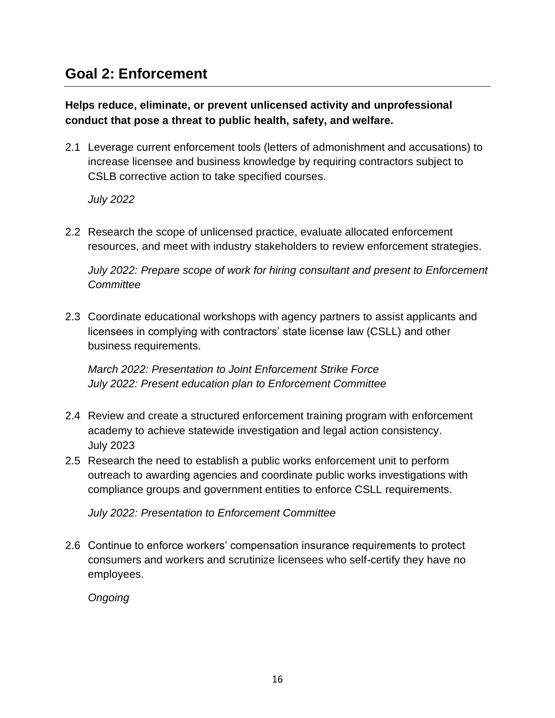# <span id="page-15-0"></span>**Goal 2: Enforcement**

**Helps reduce, eliminate, or prevent unlicensed activity and unprofessional conduct that pose a threat to public health, safety, and welfare.**

2.1 Leverage current enforcement tools (letters of admonishment and accusations) to increase licensee and business knowledge by requiring contractors subject to CSLB corrective action to take specified courses.

*July 2022*

2.2 Research the scope of unlicensed practice, evaluate allocated enforcement resources, and meet with industry stakeholders to review enforcement strategies.

*July 2022: Prepare scope of work for hiring consultant and present to Enforcement Committee*

2.3 Coordinate educational workshops with agency partners to assist applicants and licensees in complying with contractors' state license law (CSLL) and other business requirements.

*March 2022: Presentation to Joint Enforcement Strike Force July 2022: Present education plan to Enforcement Committee*

- 2.4 Review and create a structured enforcement training program with enforcement academy to achieve statewide investigation and legal action consistency. July 2023
- 2.5 Research the need to establish a public works enforcement unit to perform outreach to awarding agencies and coordinate public works investigations with compliance groups and government entities to enforce CSLL requirements.

*July 2022: Presentation to Enforcement Committee*

2.6 Continue to enforce workers' compensation insurance requirements to protect consumers and workers and scrutinize licensees who self-certify they have no employees.

*Ongoing*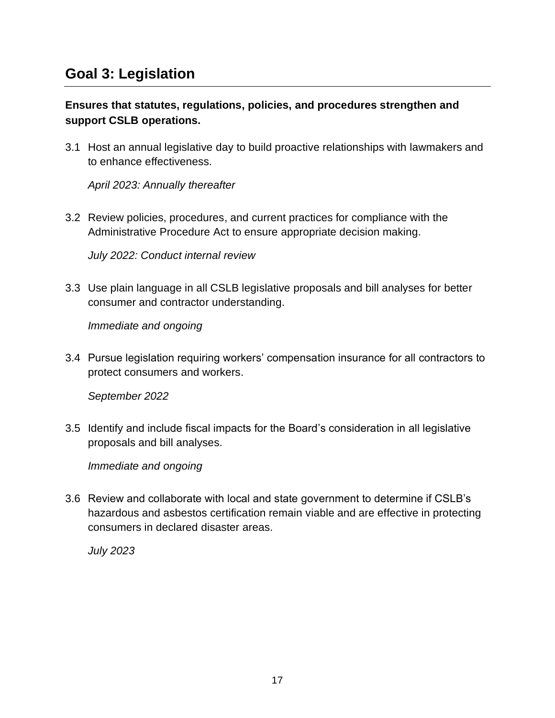# <span id="page-16-0"></span>**Goal 3: Legislation**

### **Ensures that statutes, regulations, policies, and procedures strengthen and support CSLB operations.**

3.1 Host an annual legislative day to build proactive relationships with lawmakers and to enhance effectiveness.

*April 2023: Annually thereafter*

3.2 Review policies, procedures, and current practices for compliance with the Administrative Procedure Act to ensure appropriate decision making.

*July 2022: Conduct internal review*

3.3 Use plain language in all CSLB legislative proposals and bill analyses for better consumer and contractor understanding.

*Immediate and ongoing*

3.4 Pursue legislation requiring workers' compensation insurance for all contractors to protect consumers and workers.

*September 2022*

3.5 Identify and include fiscal impacts for the Board's consideration in all legislative proposals and bill analyses.

*Immediate and ongoing*

3.6 Review and collaborate with local and state government to determine if CSLB's hazardous and asbestos certification remain viable and are effective in protecting consumers in declared disaster areas.

*July 2023*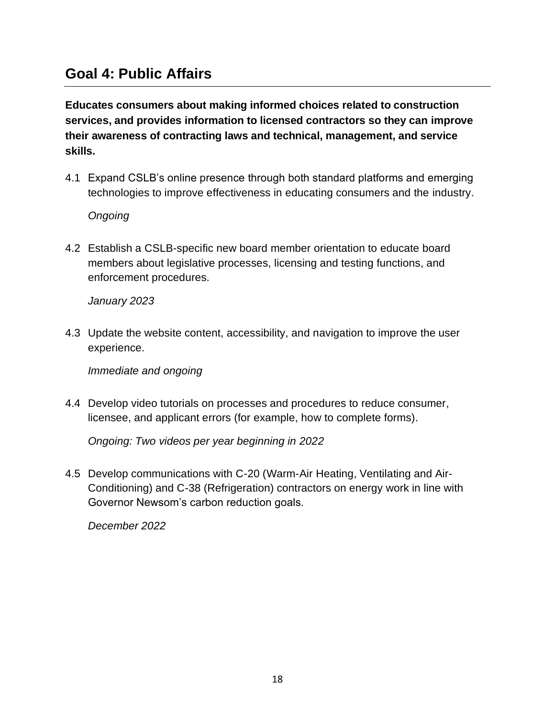# <span id="page-17-0"></span>**Goal 4: Public Affairs**

**Educates consumers about making informed choices related to construction services, and provides information to licensed contractors so they can improve their awareness of contracting laws and technical, management, and service skills.**

4.1 Expand CSLB's online presence through both standard platforms and emerging technologies to improve effectiveness in educating consumers and the industry.

*Ongoing*

4.2 Establish a CSLB-specific new board member orientation to educate board members about legislative processes, licensing and testing functions, and enforcement procedures.

*January 2023*

4.3 Update the website content, accessibility, and navigation to improve the user experience.

*Immediate and ongoing*

4.4 Develop video tutorials on processes and procedures to reduce consumer, licensee, and applicant errors (for example, how to complete forms).

*Ongoing: Two videos per year beginning in 2022*

4.5 Develop communications with C-20 (Warm-Air Heating, Ventilating and Air-Conditioning) and C-38 (Refrigeration) contractors on energy work in line with Governor Newsom's carbon reduction goals.

*December 2022*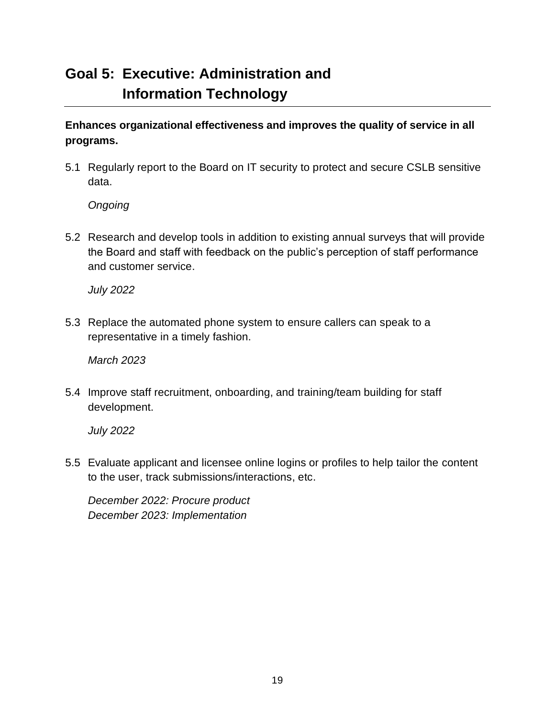# <span id="page-18-0"></span>**Goal 5: Executive: Administration and Information Technology**

**Enhances organizational effectiveness and improves the quality of service in all programs.**

5.1 Regularly report to the Board on IT security to protect and secure CSLB sensitive data.

*Ongoing*

5.2 Research and develop tools in addition to existing annual surveys that will provide the Board and staff with feedback on the public's perception of staff performance and customer service.

*July 2022*

5.3 Replace the automated phone system to ensure callers can speak to a representative in a timely fashion.

*March 2023*

5.4 Improve staff recruitment, onboarding, and training/team building for staff development.

*July 2022*

5.5 Evaluate applicant and licensee online logins or profiles to help tailor the content to the user, track submissions/interactions, etc.

*December 2022: Procure product December 2023: Implementation*